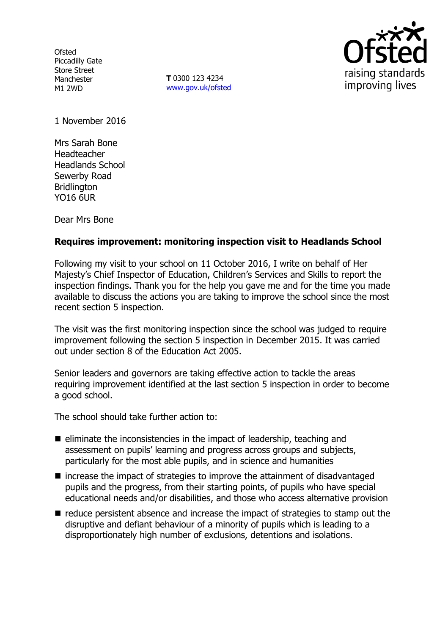**Ofsted** Piccadilly Gate Store Street Manchester M1 2WD

**T** 0300 123 4234 www.gov.uk/ofsted



1 November 2016

Mrs Sarah Bone Headteacher Headlands School Sewerby Road **Bridlington** YO16 6UR

Dear Mrs Bone

## **Requires improvement: monitoring inspection visit to Headlands School**

Following my visit to your school on 11 October 2016, I write on behalf of Her Majesty's Chief Inspector of Education, Children's Services and Skills to report the inspection findings. Thank you for the help you gave me and for the time you made available to discuss the actions you are taking to improve the school since the most recent section 5 inspection.

The visit was the first monitoring inspection since the school was judged to require improvement following the section 5 inspection in December 2015. It was carried out under section 8 of the Education Act 2005.

Senior leaders and governors are taking effective action to tackle the areas requiring improvement identified at the last section 5 inspection in order to become a good school.

The school should take further action to:

- $\blacksquare$  eliminate the inconsistencies in the impact of leadership, teaching and assessment on pupils' learning and progress across groups and subjects, particularly for the most able pupils, and in science and humanities
- increase the impact of strategies to improve the attainment of disadvantaged pupils and the progress, from their starting points, of pupils who have special educational needs and/or disabilities, and those who access alternative provision
- $\blacksquare$  reduce persistent absence and increase the impact of strategies to stamp out the disruptive and defiant behaviour of a minority of pupils which is leading to a disproportionately high number of exclusions, detentions and isolations.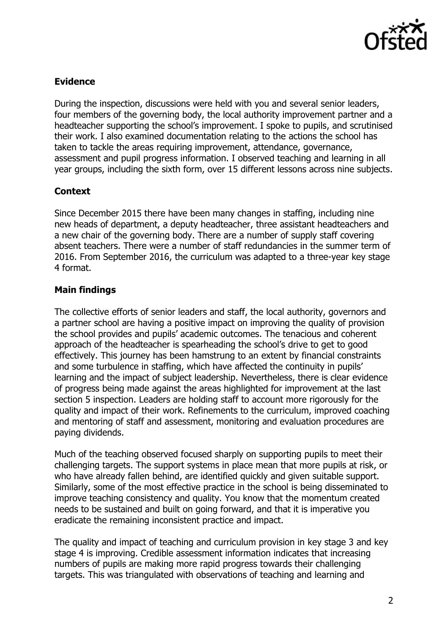

# **Evidence**

During the inspection, discussions were held with you and several senior leaders, four members of the governing body, the local authority improvement partner and a headteacher supporting the school's improvement. I spoke to pupils, and scrutinised their work. I also examined documentation relating to the actions the school has taken to tackle the areas requiring improvement, attendance, governance, assessment and pupil progress information. I observed teaching and learning in all year groups, including the sixth form, over 15 different lessons across nine subjects.

## **Context**

Since December 2015 there have been many changes in staffing, including nine new heads of department, a deputy headteacher, three assistant headteachers and a new chair of the governing body. There are a number of supply staff covering absent teachers. There were a number of staff redundancies in the summer term of 2016. From September 2016, the curriculum was adapted to a three-year key stage 4 format.

## **Main findings**

The collective efforts of senior leaders and staff, the local authority, governors and a partner school are having a positive impact on improving the quality of provision the school provides and pupils' academic outcomes. The tenacious and coherent approach of the headteacher is spearheading the school's drive to get to good effectively. This journey has been hamstrung to an extent by financial constraints and some turbulence in staffing, which have affected the continuity in pupils' learning and the impact of subject leadership. Nevertheless, there is clear evidence of progress being made against the areas highlighted for improvement at the last section 5 inspection. Leaders are holding staff to account more rigorously for the quality and impact of their work. Refinements to the curriculum, improved coaching and mentoring of staff and assessment, monitoring and evaluation procedures are paying dividends.

Much of the teaching observed focused sharply on supporting pupils to meet their challenging targets. The support systems in place mean that more pupils at risk, or who have already fallen behind, are identified quickly and given suitable support. Similarly, some of the most effective practice in the school is being disseminated to improve teaching consistency and quality. You know that the momentum created needs to be sustained and built on going forward, and that it is imperative you eradicate the remaining inconsistent practice and impact.

The quality and impact of teaching and curriculum provision in key stage 3 and key stage 4 is improving. Credible assessment information indicates that increasing numbers of pupils are making more rapid progress towards their challenging targets. This was triangulated with observations of teaching and learning and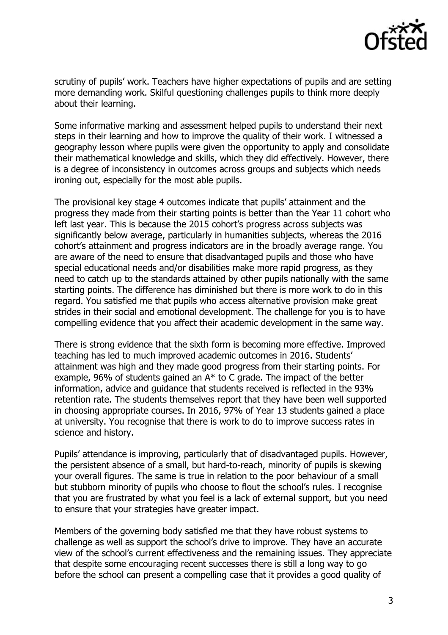

scrutiny of pupils' work. Teachers have higher expectations of pupils and are setting more demanding work. Skilful questioning challenges pupils to think more deeply about their learning.

Some informative marking and assessment helped pupils to understand their next steps in their learning and how to improve the quality of their work. I witnessed a geography lesson where pupils were given the opportunity to apply and consolidate their mathematical knowledge and skills, which they did effectively. However, there is a degree of inconsistency in outcomes across groups and subjects which needs ironing out, especially for the most able pupils.

The provisional key stage 4 outcomes indicate that pupils' attainment and the progress they made from their starting points is better than the Year 11 cohort who left last year. This is because the 2015 cohort's progress across subjects was significantly below average, particularly in humanities subjects, whereas the 2016 cohort's attainment and progress indicators are in the broadly average range. You are aware of the need to ensure that disadvantaged pupils and those who have special educational needs and/or disabilities make more rapid progress, as they need to catch up to the standards attained by other pupils nationally with the same starting points. The difference has diminished but there is more work to do in this regard. You satisfied me that pupils who access alternative provision make great strides in their social and emotional development. The challenge for you is to have compelling evidence that you affect their academic development in the same way.

There is strong evidence that the sixth form is becoming more effective. Improved teaching has led to much improved academic outcomes in 2016. Students' attainment was high and they made good progress from their starting points. For example, 96% of students gained an A\* to C grade. The impact of the better information, advice and guidance that students received is reflected in the 93% retention rate. The students themselves report that they have been well supported in choosing appropriate courses. In 2016, 97% of Year 13 students gained a place at university. You recognise that there is work to do to improve success rates in science and history.

Pupils' attendance is improving, particularly that of disadvantaged pupils. However, the persistent absence of a small, but hard-to-reach, minority of pupils is skewing your overall figures. The same is true in relation to the poor behaviour of a small but stubborn minority of pupils who choose to flout the school's rules. I recognise that you are frustrated by what you feel is a lack of external support, but you need to ensure that your strategies have greater impact.

Members of the governing body satisfied me that they have robust systems to challenge as well as support the school's drive to improve. They have an accurate view of the school's current effectiveness and the remaining issues. They appreciate that despite some encouraging recent successes there is still a long way to go before the school can present a compelling case that it provides a good quality of